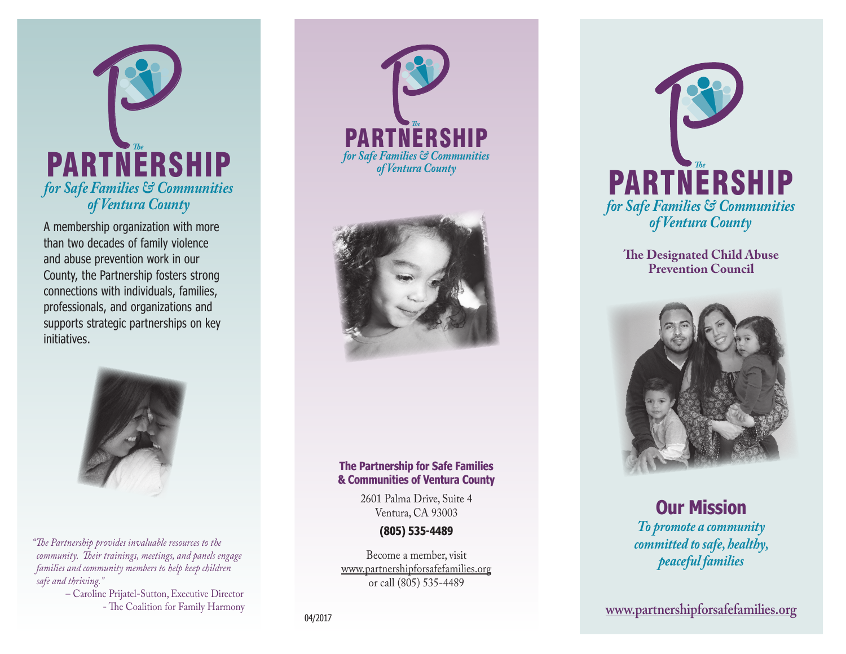

A membership organization with more than two decades of family violence and abuse prevention work in our County, the Partnership fosters strong connections with individuals, families, professionals, and organizations and supports strategic partnerships on key initiatives.



*"The Partnership provides invaluable resources to the community. Their trainings, meetings, and panels engage families and community members to help keep children safe and thriving."*

> – Caroline Prijatel-Sutton, Executive Director - The Coalition for Family Harmony





#### **The Partnership for Safe Families & Communities of Ventura County**

2601 Palma Drive, Suite 4 Ventura, CA 93003

#### **(805) 535-4489**

Become a member, visit www.partnershipforsafefamilies.org or call (805) 535-4489



**The Designated Child Abuse Prevention Council** 



#### **Our Mission** *To promote a community committed to safe, healthy, peaceful families*

**www.partnershipforsafefamilies.org** 04/2017